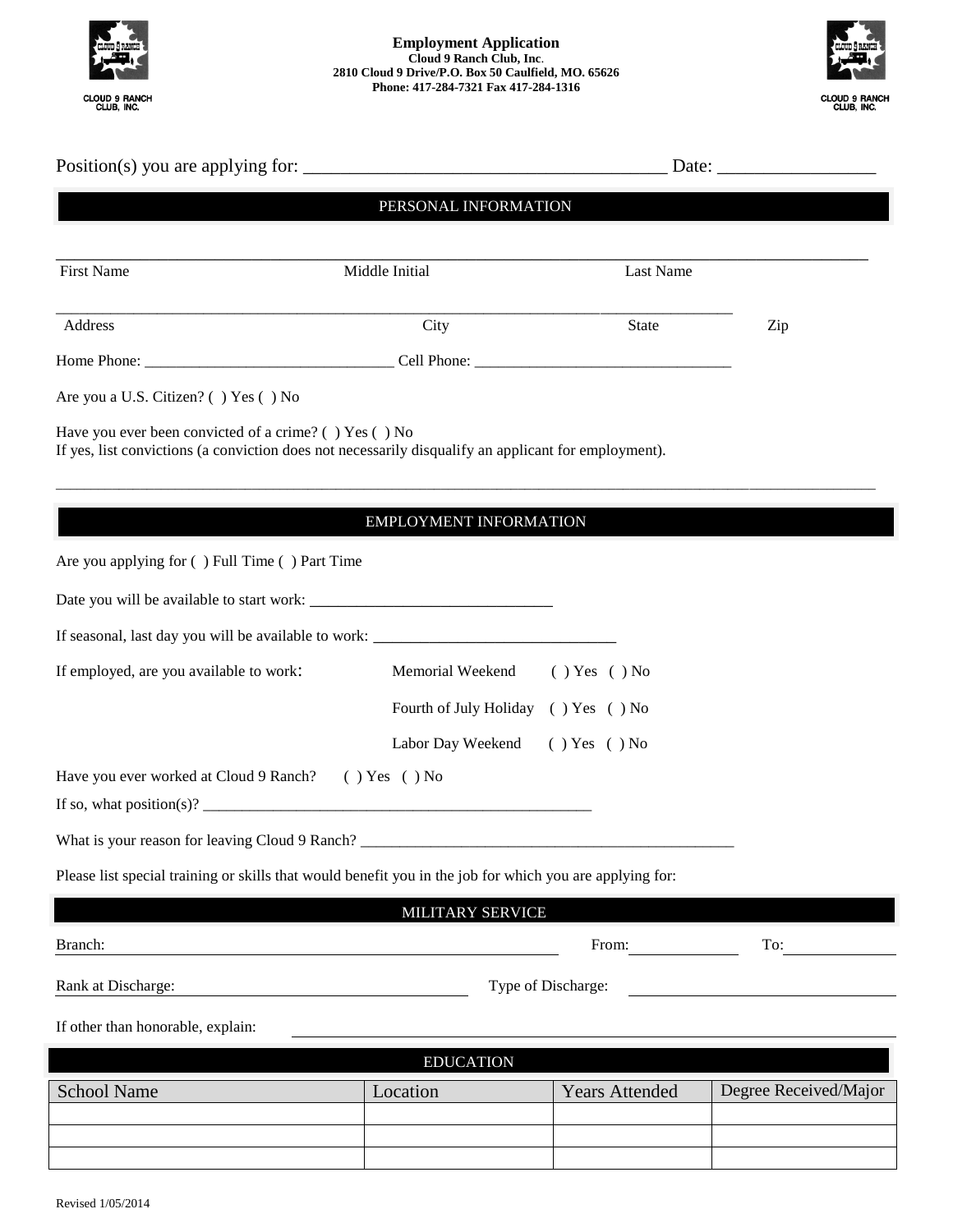

## **Employment Application Cloud 9 Ranch Club, Inc**. **2810 Cloud 9 Drive/P.O. Box 50 Caulfield, MO. 65626 Phone: 417-284-7321 Fax 417-284-1316**



|                                                                                                                                                               | PERSONAL INFORMATION   |                                     |                       |
|---------------------------------------------------------------------------------------------------------------------------------------------------------------|------------------------|-------------------------------------|-----------------------|
| <b>First Name</b>                                                                                                                                             | Middle Initial         | Last Name                           |                       |
| Address                                                                                                                                                       | City                   | State                               | Zip                   |
|                                                                                                                                                               |                        |                                     |                       |
| Are you a U.S. Citizen? () Yes () No                                                                                                                          |                        |                                     |                       |
| Have you ever been convicted of a crime? () Yes () No<br>If yes, list convictions (a conviction does not necessarily disqualify an applicant for employment). |                        |                                     |                       |
|                                                                                                                                                               | EMPLOYMENT INFORMATION |                                     |                       |
| Are you applying for () Full Time () Part Time                                                                                                                |                        |                                     |                       |
|                                                                                                                                                               |                        |                                     |                       |
|                                                                                                                                                               |                        |                                     |                       |
| If employed, are you available to work:                                                                                                                       | Memorial Weekend       | $( )$ Yes $( )$ No                  |                       |
|                                                                                                                                                               |                        | Fourth of July Holiday () Yes () No |                       |
|                                                                                                                                                               | Labor Day Weekend      | $( )$ Yes $( )$ No                  |                       |
| Have you ever worked at Cloud 9 Ranch?                                                                                                                        | () Yes () No           |                                     |                       |
| What is your reason for leaving Cloud 9 Ranch?                                                                                                                |                        |                                     |                       |
| Please list special training or skills that would benefit you in the job for which you are applying for:                                                      |                        |                                     |                       |
|                                                                                                                                                               | MILITARY SERVICE       |                                     |                       |
| Branch:                                                                                                                                                       |                        | From:                               | To:                   |
| Rank at Discharge:                                                                                                                                            |                        | Type of Discharge:                  |                       |
| If other than honorable, explain:                                                                                                                             |                        |                                     |                       |
|                                                                                                                                                               | <b>EDUCATION</b>       |                                     |                       |
| <b>School Name</b>                                                                                                                                            | Location               | <b>Years Attended</b>               | Degree Received/Major |
|                                                                                                                                                               |                        |                                     |                       |